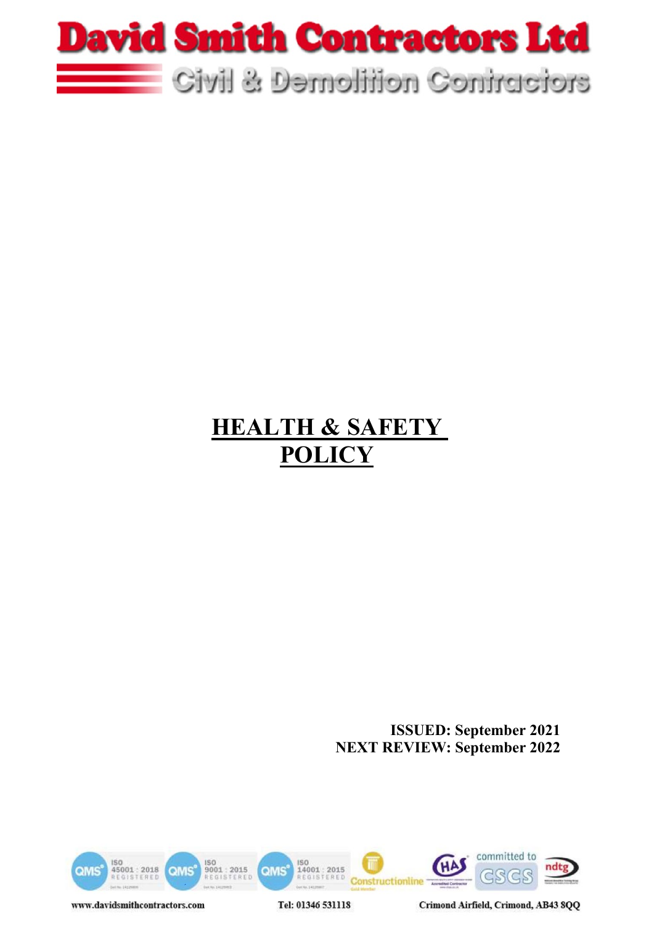

# **HEALTH & SAFETY POLICY**

**ISSUED: September 2021 NEXT REVIEW: September 2022**



www.davidsmithcontractors.com

Tel: 01346 531118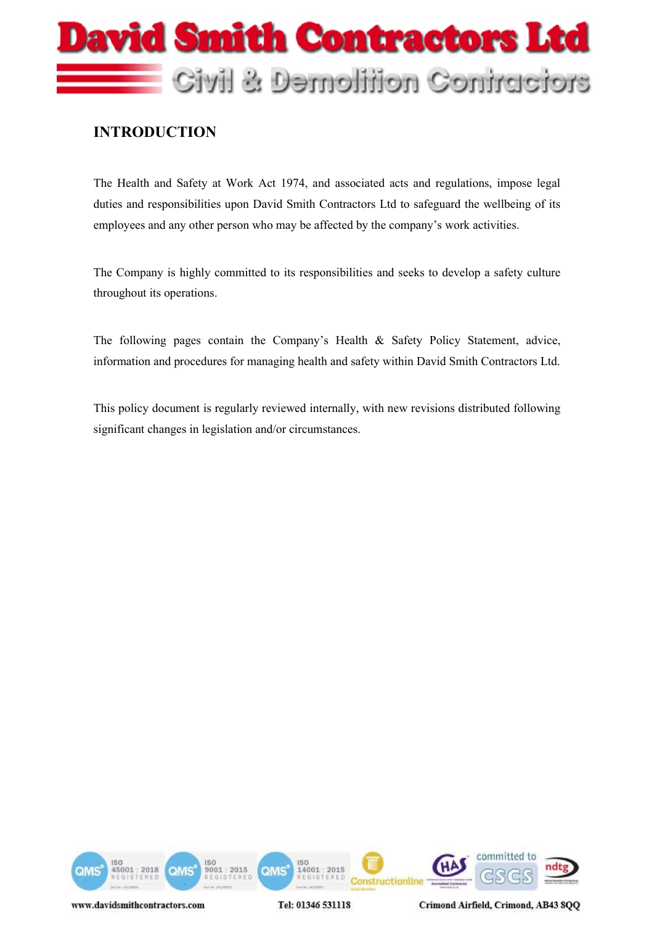

### **INTRODUCTION**

The Health and Safety at Work Act 1974, and associated acts and regulations, impose legal duties and responsibilities upon David Smith Contractors Ltd to safeguard the wellbeing of its employees and any other person who may be affected by the company's work activities.

The Company is highly committed to its responsibilities and seeks to develop a safety culture throughout its operations.

The following pages contain the Company's Health & Safety Policy Statement, advice, information and procedures for managing health and safety within David Smith Contractors Ltd.

This policy document is regularly reviewed internally, with new revisions distributed following significant changes in legislation and/or circumstances.

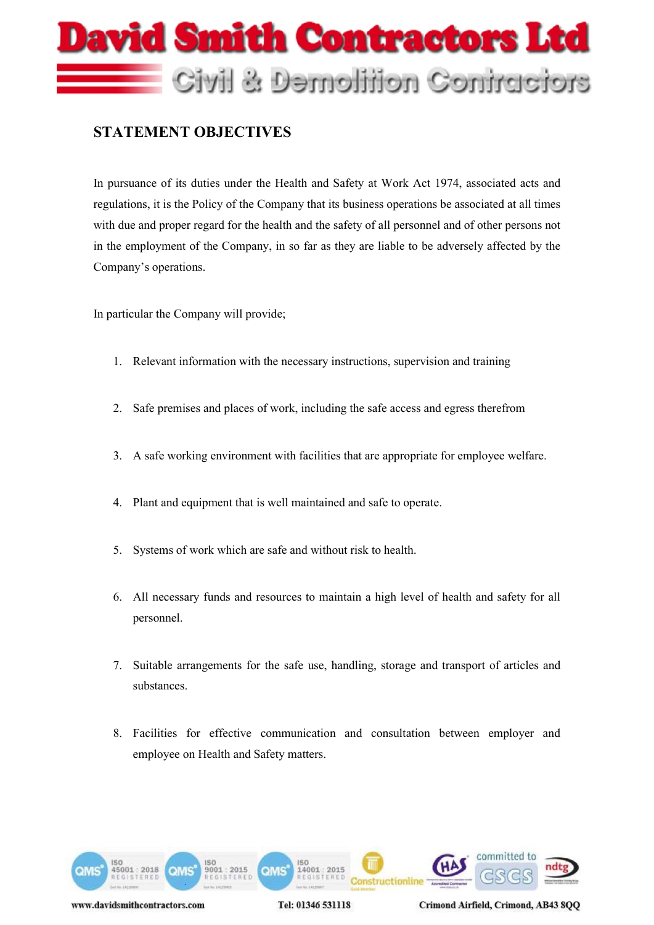

## **STATEMENT OBJECTIVES**

In pursuance of its duties under the Health and Safety at Work Act 1974, associated acts and regulations, it is the Policy of the Company that its business operations be associated at all times with due and proper regard for the health and the safety of all personnel and of other persons not in the employment of the Company, in so far as they are liable to be adversely affected by the Company's operations.

In particular the Company will provide;

- 1. Relevant information with the necessary instructions, supervision and training
- 2. Safe premises and places of work, including the safe access and egress therefrom
- 3. A safe working environment with facilities that are appropriate for employee welfare.
- 4. Plant and equipment that is well maintained and safe to operate.
- 5. Systems of work which are safe and without risk to health.
- 6. All necessary funds and resources to maintain a high level of health and safety for all personnel.
- 7. Suitable arrangements for the safe use, handling, storage and transport of articles and substances.
- 8. Facilities for effective communication and consultation between employer and employee on Health and Safety matters.



Tel: 01346 531118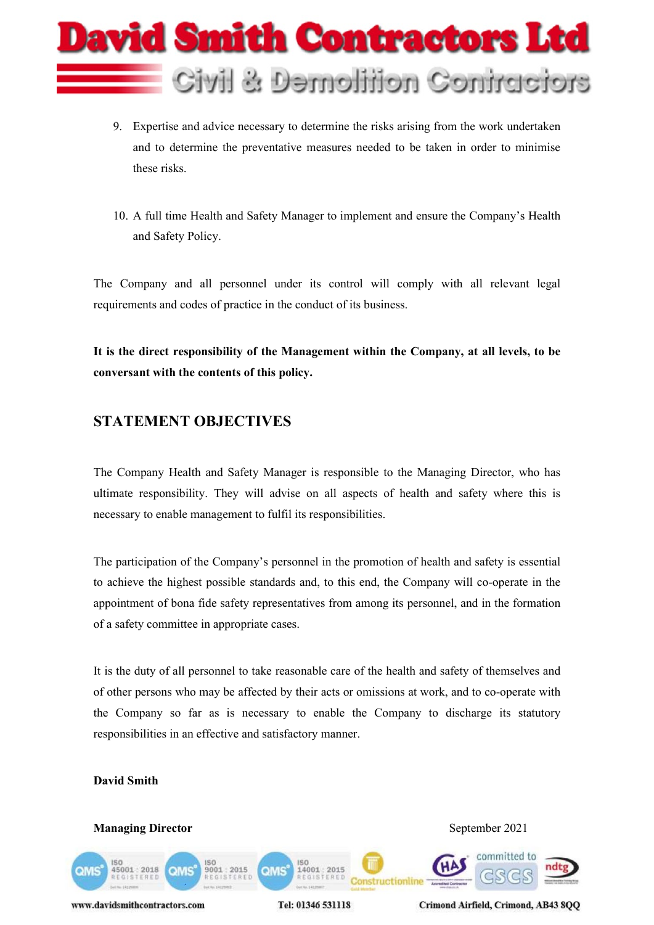

- 9. Expertise and advice necessary to determine the risks arising from the work undertaken and to determine the preventative measures needed to be taken in order to minimise these risks.
- 10. A full time Health and Safety Manager to implement and ensure the Company's Health and Safety Policy.

The Company and all personnel under its control will comply with all relevant legal requirements and codes of practice in the conduct of its business.

**It is the direct responsibility of the Management within the Company, at all levels, to be conversant with the contents of this policy.**

# **STATEMENT OBJECTIVES**

The Company Health and Safety Manager is responsible to the Managing Director, who has ultimate responsibility. They will advise on all aspects of health and safety where this is necessary to enable management to fulfil its responsibilities.

The participation of the Company's personnel in the promotion of health and safety is essential to achieve the highest possible standards and, to this end, the Company will co-operate in the appointment of bona fide safety representatives from among its personnel, and in the formation of a safety committee in appropriate cases.

It is the duty of all personnel to take reasonable care of the health and safety of themselves and of other persons who may be affected by their acts or omissions at work, and to co-operate with the Company so far as is necessary to enable the Company to discharge its statutory responsibilities in an effective and satisfactory manner.

#### **David Smith**

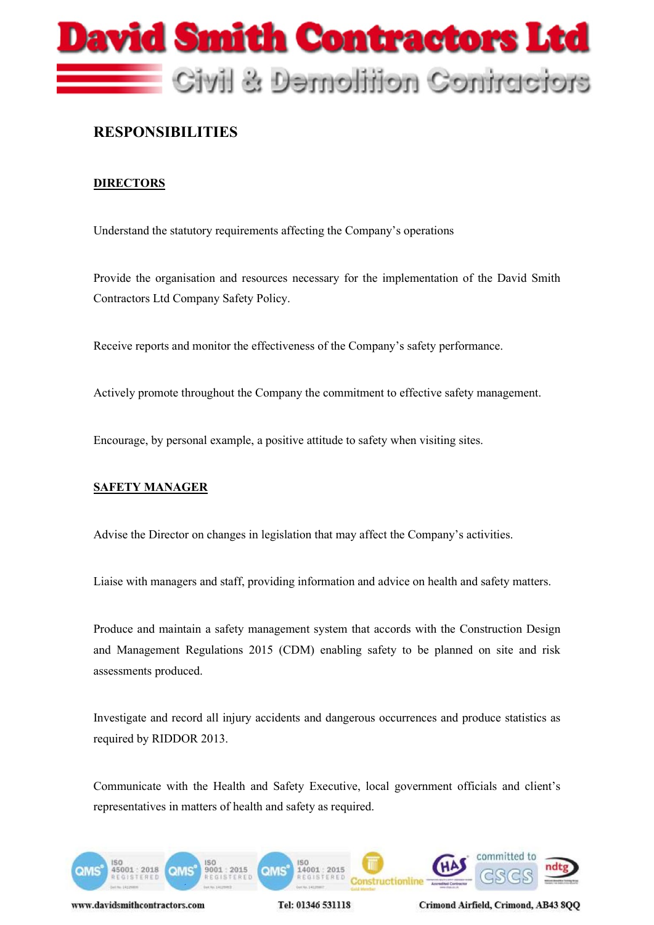

### **RESPONSIBILITIES**

#### **DIRECTORS**

Understand the statutory requirements affecting the Company's operations

Provide the organisation and resources necessary for the implementation of the David Smith Contractors Ltd Company Safety Policy.

Receive reports and monitor the effectiveness of the Company's safety performance.

Actively promote throughout the Company the commitment to effective safety management.

Encourage, by personal example, a positive attitude to safety when visiting sites.

#### **SAFETY MANAGER**

Advise the Director on changes in legislation that may affect the Company's activities.

Liaise with managers and staff, providing information and advice on health and safety matters.

Produce and maintain a safety management system that accords with the Construction Design and Management Regulations 2015 (CDM) enabling safety to be planned on site and risk assessments produced.

Investigate and record all injury accidents and dangerous occurrences and produce statistics as required by RIDDOR 2013.

Communicate with the Health and Safety Executive, local government officials and client's representatives in matters of health and safety as required.



www.davidsmithcontractors.com

Tel: 01346 531118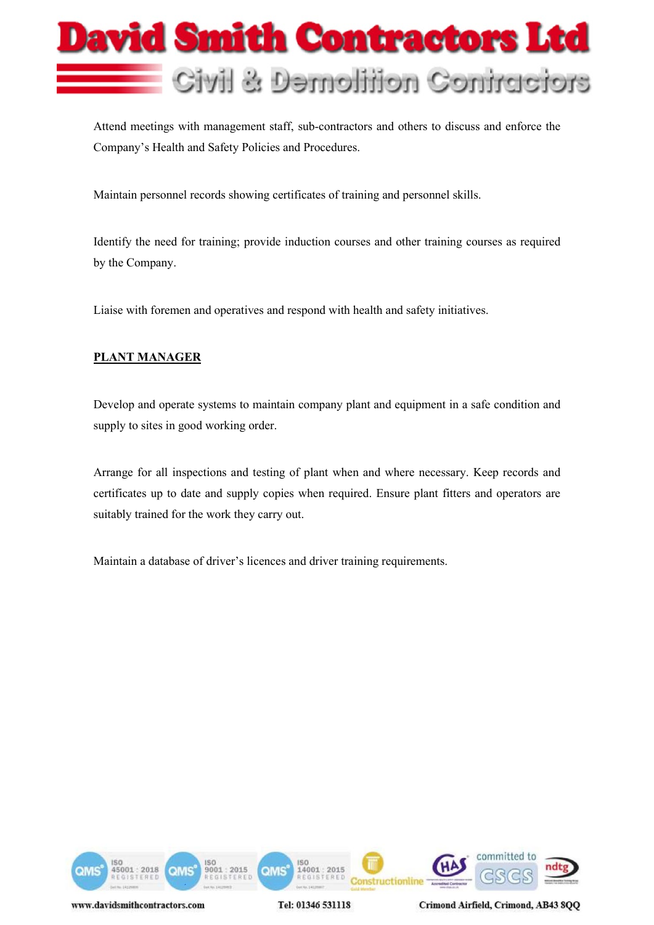

Attend meetings with management staff, sub-contractors and others to discuss and enforce the Company's Health and Safety Policies and Procedures.

Maintain personnel records showing certificates of training and personnel skills.

Identify the need for training; provide induction courses and other training courses as required by the Company.

Liaise with foremen and operatives and respond with health and safety initiatives.

#### **PLANT MANAGER**

Develop and operate systems to maintain company plant and equipment in a safe condition and supply to sites in good working order.

Arrange for all inspections and testing of plant when and where necessary. Keep records and certificates up to date and supply copies when required. Ensure plant fitters and operators are suitably trained for the work they carry out.

Maintain a database of driver's licences and driver training requirements.



Tel: 01346 531118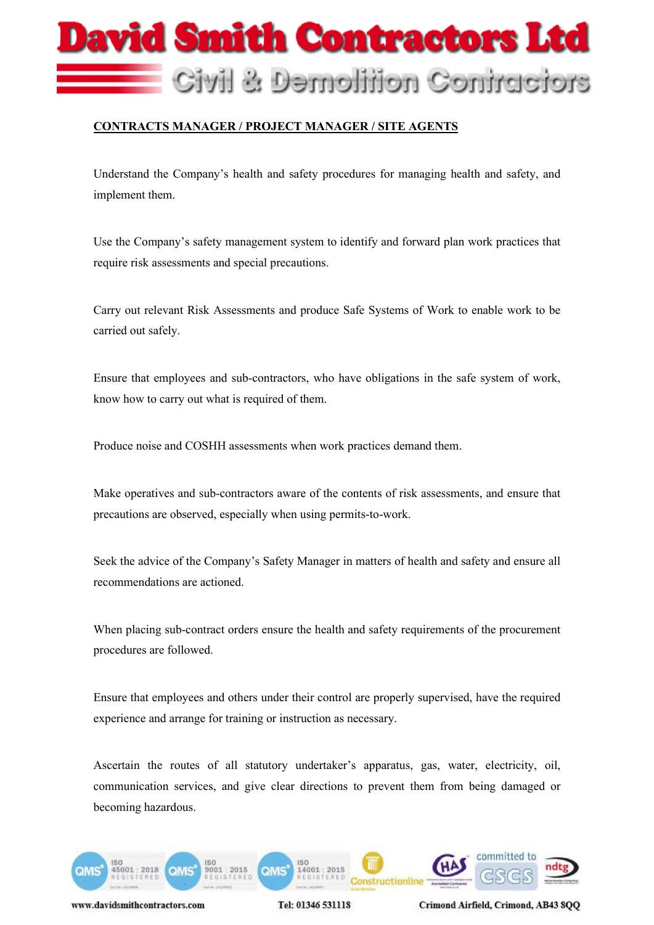

#### **CONTRACTS MANAGER / PROJECT MANAGER / SITE AGENTS**

Understand the Company's health and safety procedures for managing health and safety, and implement them.

Use the Company's safety management system to identify and forward plan work practices that require risk assessments and special precautions.

Carry out relevant Risk Assessments and produce Safe Systems of Work to enable work to be carried out safely.

Ensure that employees and sub-contractors, who have obligations in the safe system of work, know how to carry out what is required of them.

Produce noise and COSHH assessments when work practices demand them.

Make operatives and sub-contractors aware of the contents of risk assessments, and ensure that precautions are observed, especially when using permits-to-work.

Seek the advice of the Company's Safety Manager in matters of health and safety and ensure all recommendations are actioned.

When placing sub-contract orders ensure the health and safety requirements of the procurement procedures are followed.

Ensure that employees and others under their control are properly supervised, have the required experience and arrange for training or instruction as necessary.

Ascertain the routes of all statutory undertaker's apparatus, gas, water, electricity, oil, communication services, and give clear directions to prevent them from being damaged or becoming hazardous.



www.davidsmithcontractors.com

Tel: 01346 531118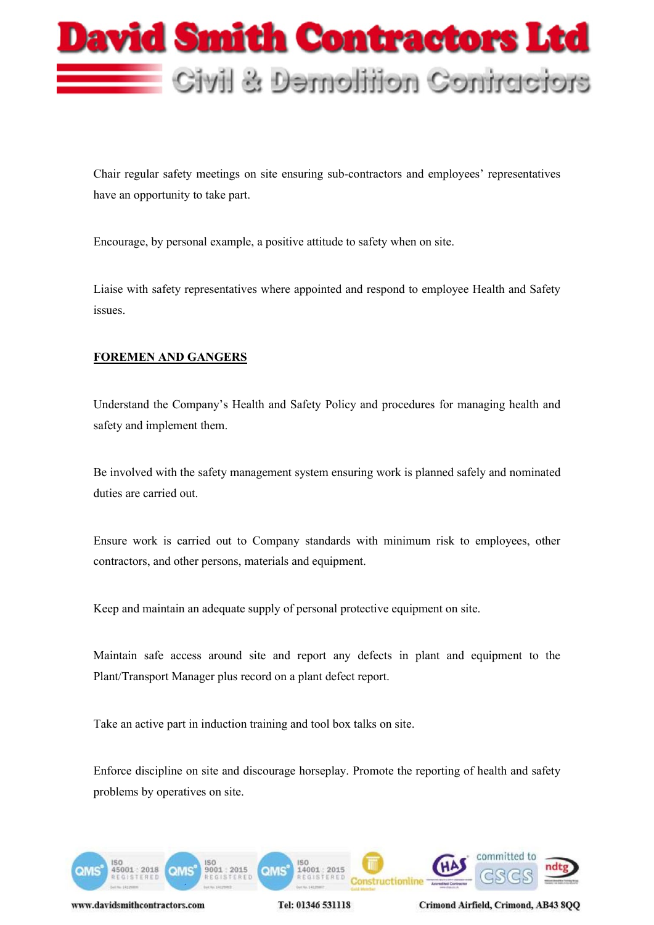

Chair regular safety meetings on site ensuring sub-contractors and employees' representatives have an opportunity to take part.

Encourage, by personal example, a positive attitude to safety when on site.

Liaise with safety representatives where appointed and respond to employee Health and Safety issues.

#### **FOREMEN AND GANGERS**

Understand the Company's Health and Safety Policy and procedures for managing health and safety and implement them.

Be involved with the safety management system ensuring work is planned safely and nominated duties are carried out.

Ensure work is carried out to Company standards with minimum risk to employees, other contractors, and other persons, materials and equipment.

Keep and maintain an adequate supply of personal protective equipment on site.

Maintain safe access around site and report any defects in plant and equipment to the Plant/Transport Manager plus record on a plant defect report.

Take an active part in induction training and tool box talks on site.

Enforce discipline on site and discourage horseplay. Promote the reporting of health and safety problems by operatives on site.



www.davidsmithcontractors.com

Tel: 01346 531118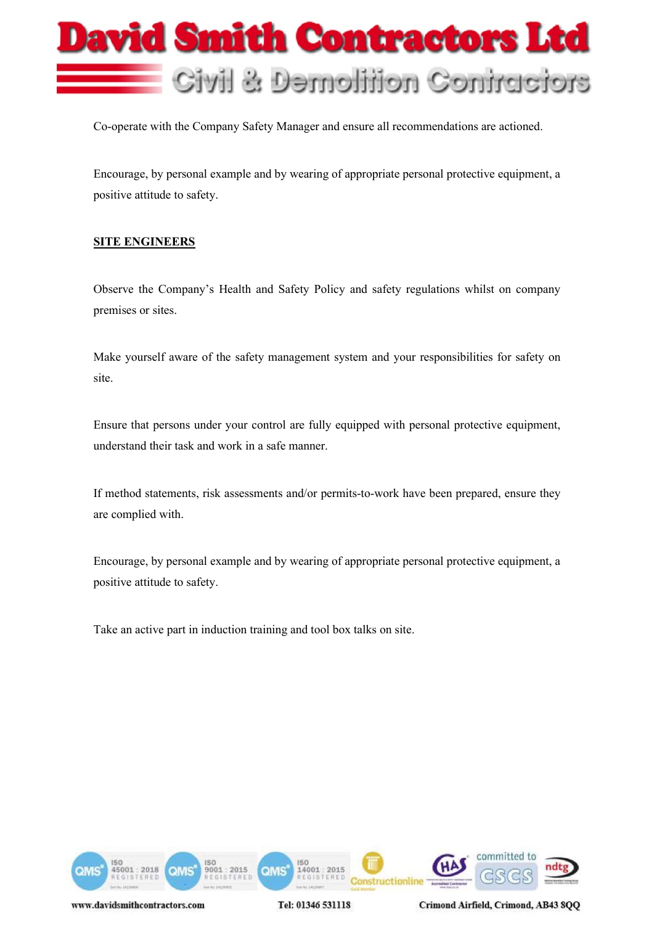

Co-operate with the Company Safety Manager and ensure all recommendations are actioned.

Encourage, by personal example and by wearing of appropriate personal protective equipment, a positive attitude to safety.

#### **SITE ENGINEERS**

Observe the Company's Health and Safety Policy and safety regulations whilst on company premises or sites.

Make yourself aware of the safety management system and your responsibilities for safety on site.

Ensure that persons under your control are fully equipped with personal protective equipment, understand their task and work in a safe manner.

If method statements, risk assessments and/or permits-to-work have been prepared, ensure they are complied with.

Encourage, by personal example and by wearing of appropriate personal protective equipment, a positive attitude to safety.

Take an active part in induction training and tool box talks on site.



Tel: 01346 531118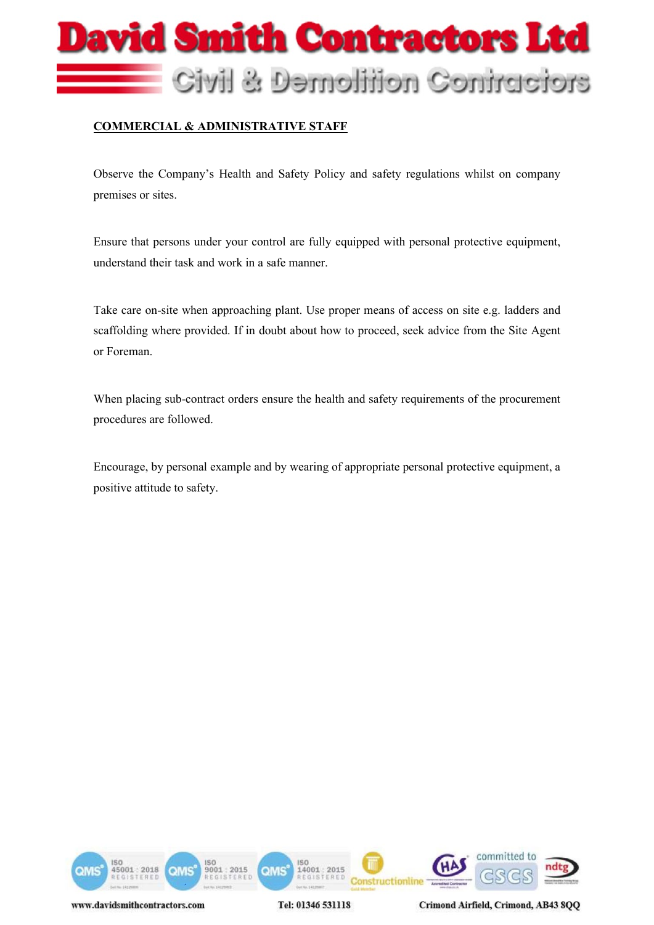# **Javid Smith Contractors Ltd** Civil & Demolition Contractors

#### **COMMERCIAL & ADMINISTRATIVE STAFF**

Observe the Company's Health and Safety Policy and safety regulations whilst on company premises or sites.

Ensure that persons under your control are fully equipped with personal protective equipment, understand their task and work in a safe manner.

Take care on-site when approaching plant. Use proper means of access on site e.g. ladders and scaffolding where provided. If in doubt about how to proceed, seek advice from the Site Agent or Foreman.

When placing sub-contract orders ensure the health and safety requirements of the procurement procedures are followed.

Encourage, by personal example and by wearing of appropriate personal protective equipment, a positive attitude to safety.

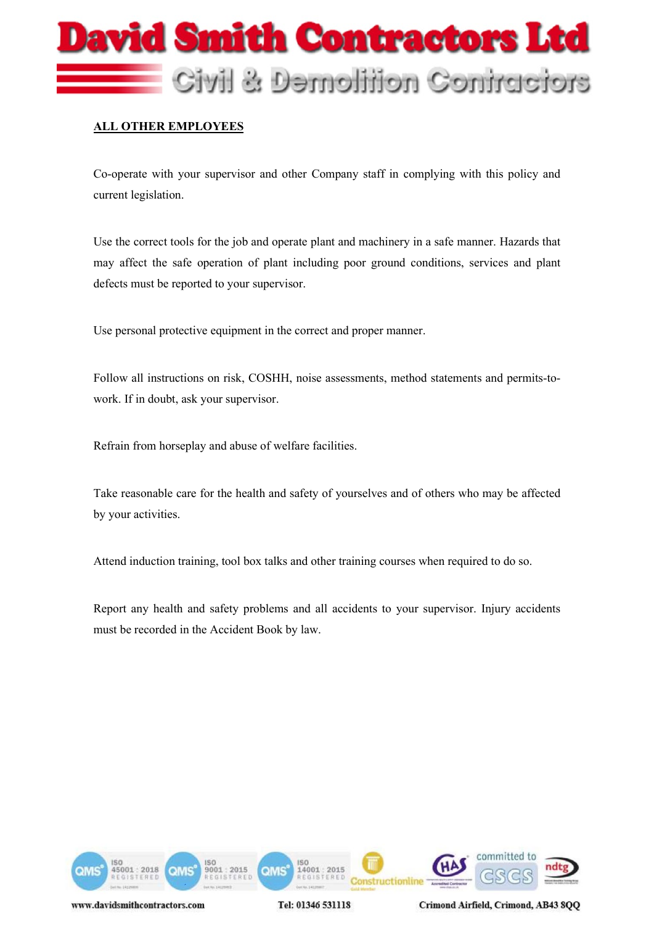

#### **ALL OTHER EMPLOYEES**

Co-operate with your supervisor and other Company staff in complying with this policy and current legislation.

Use the correct tools for the job and operate plant and machinery in a safe manner. Hazards that may affect the safe operation of plant including poor ground conditions, services and plant defects must be reported to your supervisor.

Use personal protective equipment in the correct and proper manner.

Follow all instructions on risk, COSHH, noise assessments, method statements and permits-towork. If in doubt, ask your supervisor.

Refrain from horseplay and abuse of welfare facilities.

Take reasonable care for the health and safety of yourselves and of others who may be affected by your activities.

Attend induction training, tool box talks and other training courses when required to do so.

Report any health and safety problems and all accidents to your supervisor. Injury accidents must be recorded in the Accident Book by law.



Tel: 01346 531118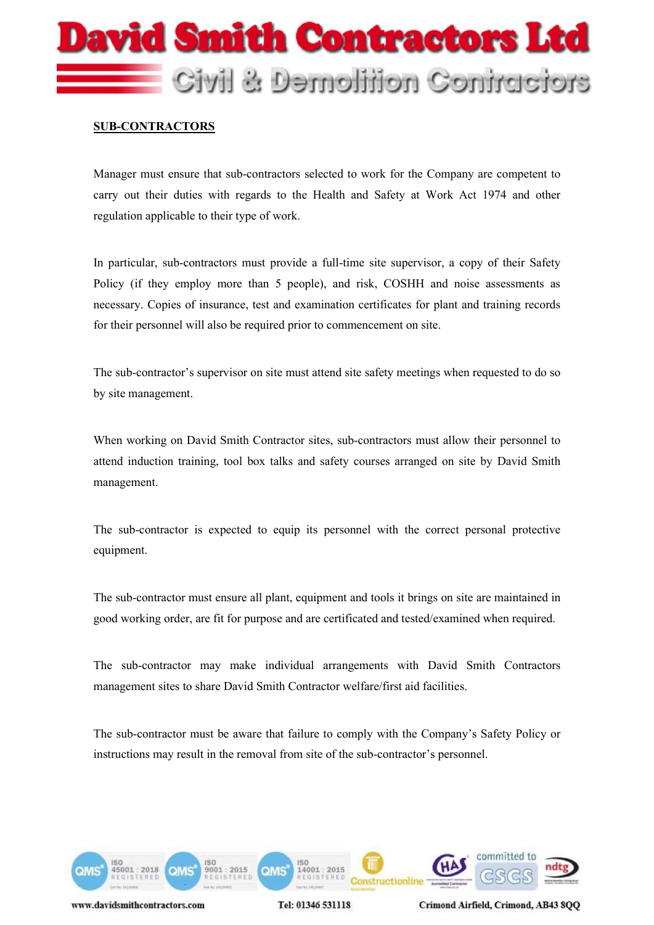# Javid Smith Contractors Ltd Civil & Demolition Contractors

#### **SUB-CONTRACTORS**

Manager must ensure that sub-contractors selected to work for the Company are competent to carry out their duties with regards to the Health and Safety at Work Act 1974 and other regulation applicable to their type of work.

In particular, sub-contractors must provide a full-time site supervisor, a copy of their Safety Policy (if they employ more than 5 people), and risk, COSHH and noise assessments as necessary. Copies of insurance, test and examination certificates for plant and training records for their personnel will also be required prior to commencement on site.

The sub-contractor's supervisor on site must attend site safety meetings when requested to do so by site management.

When working on David Smith Contractor sites, sub-contractors must allow their personnel to attend induction training, tool box talks and safety courses arranged on site by David Smith management.

The sub-contractor is expected to equip its personnel with the correct personal protective equipment.

The sub-contractor must ensure all plant, equipment and tools it brings on site are maintained in good working order, are fit for purpose and are certificated and tested/examined when required.

The sub-contractor may make individual arrangements with David Smith Contractors management sites to share David Smith Contractor welfare/first aid facilities.

The sub-contractor must be aware that failure to comply with the Company's Safety Policy or instructions may result in the removal from site of the sub-contractor's personnel.



Tel: 01346 531118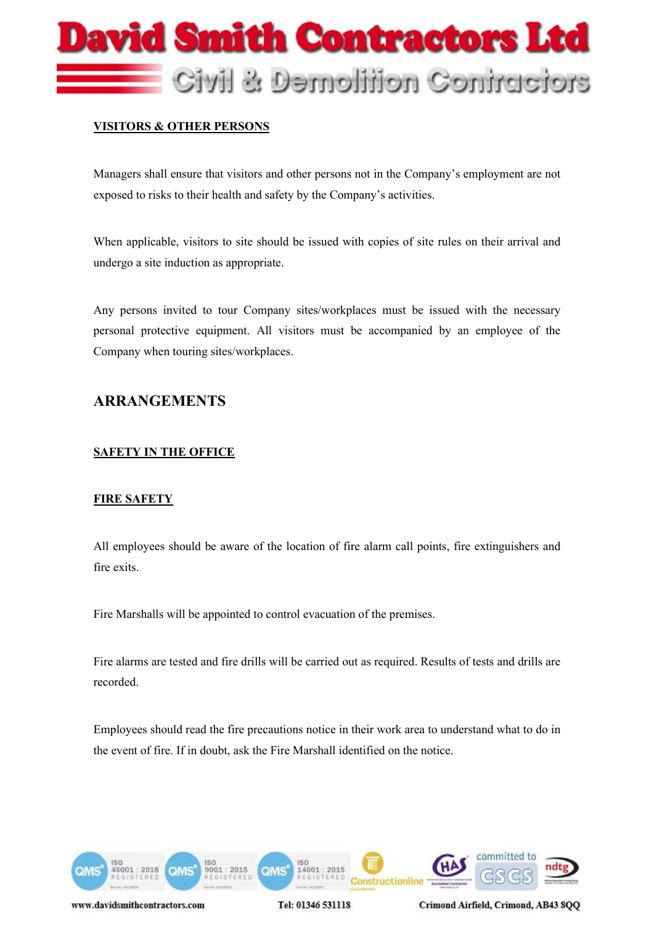

#### **VISITORS & OTHER PERSONS**

Managers shall ensure that visitors and other persons not in the Company's employment are not exposed to risks to their health and safety by the Company's activities.

When applicable, visitors to site should be issued with copies of site rules on their arrival and undergo a site induction as appropriate.

Any persons invited to tour Company sites/workplaces must be issued with the necessary personal protective equipment. All visitors must be accompanied by an employee of the Company when touring sites/workplaces.

#### **ARRANGEMENTS**

#### **SAFETY IN THE OFFICE**

#### **FIRE SAFETY**

All employees should be aware of the location of fire alarm call points, fire extinguishers and fire exits.

Fire Marshalls will be appointed to control evacuation of the premises.

Fire alarms are tested and fire drills will be carried out as required. Results of tests and drills are recorded.

Employees should read the fire precautions notice in their work area to understand what to do in the event of fire. If in doubt, ask the Fire Marshall identified on the notice.



Tel: 01346 531118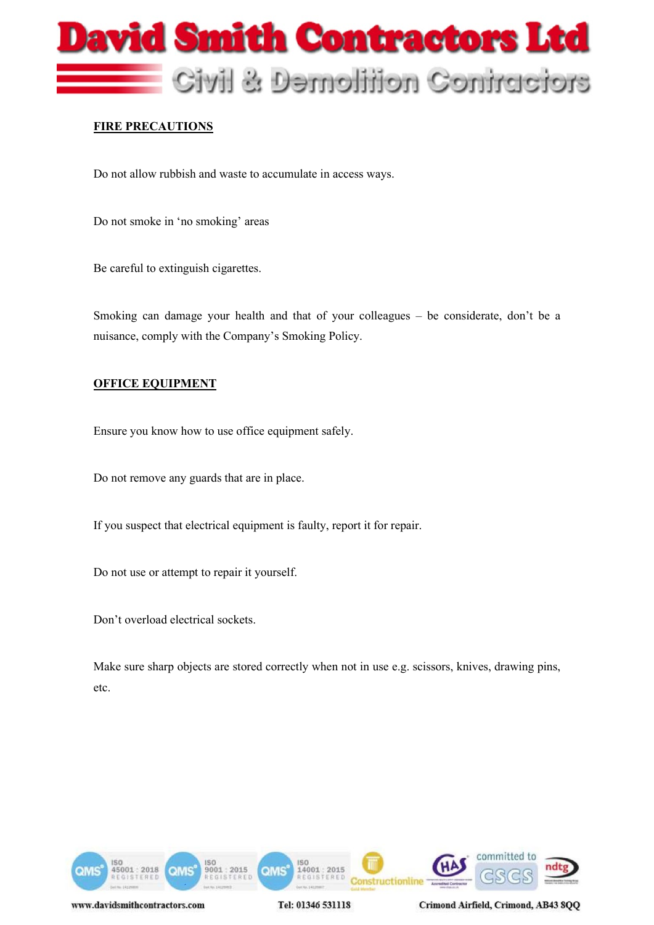

#### **FIRE PRECAUTIONS**

Do not allow rubbish and waste to accumulate in access ways.

Do not smoke in 'no smoking' areas

Be careful to extinguish cigarettes.

Smoking can damage your health and that of your colleagues – be considerate, don't be a nuisance, comply with the Company's Smoking Policy.

#### **OFFICE EQUIPMENT**

Ensure you know how to use office equipment safely.

Do not remove any guards that are in place.

If you suspect that electrical equipment is faulty, report it for repair.

Do not use or attempt to repair it yourself.

Don't overload electrical sockets.

Make sure sharp objects are stored correctly when not in use e.g. scissors, knives, drawing pins, etc.



Tel: 01346 531118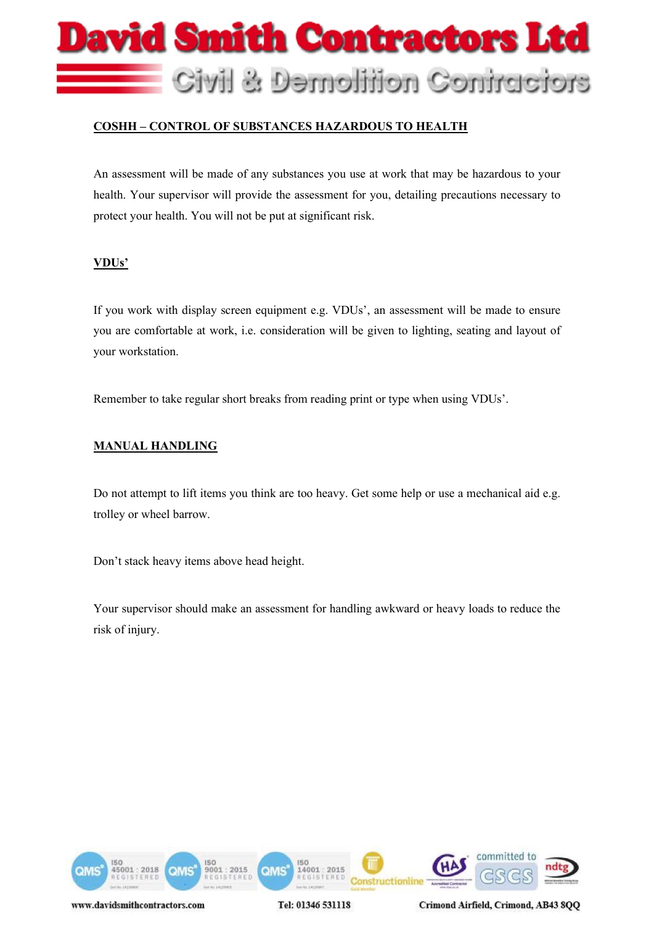

#### **COSHH – CONTROL OF SUBSTANCES HAZARDOUS TO HEALTH**

An assessment will be made of any substances you use at work that may be hazardous to your health. Your supervisor will provide the assessment for you, detailing precautions necessary to protect your health. You will not be put at significant risk.

#### **VDUs'**

If you work with display screen equipment e.g. VDUs', an assessment will be made to ensure you are comfortable at work, i.e. consideration will be given to lighting, seating and layout of your workstation.

Remember to take regular short breaks from reading print or type when using VDUs'.

#### **MANUAL HANDLING**

Do not attempt to lift items you think are too heavy. Get some help or use a mechanical aid e.g. trolley or wheel barrow.

Don't stack heavy items above head height.

Your supervisor should make an assessment for handling awkward or heavy loads to reduce the risk of injury.



Tel: 01346 531118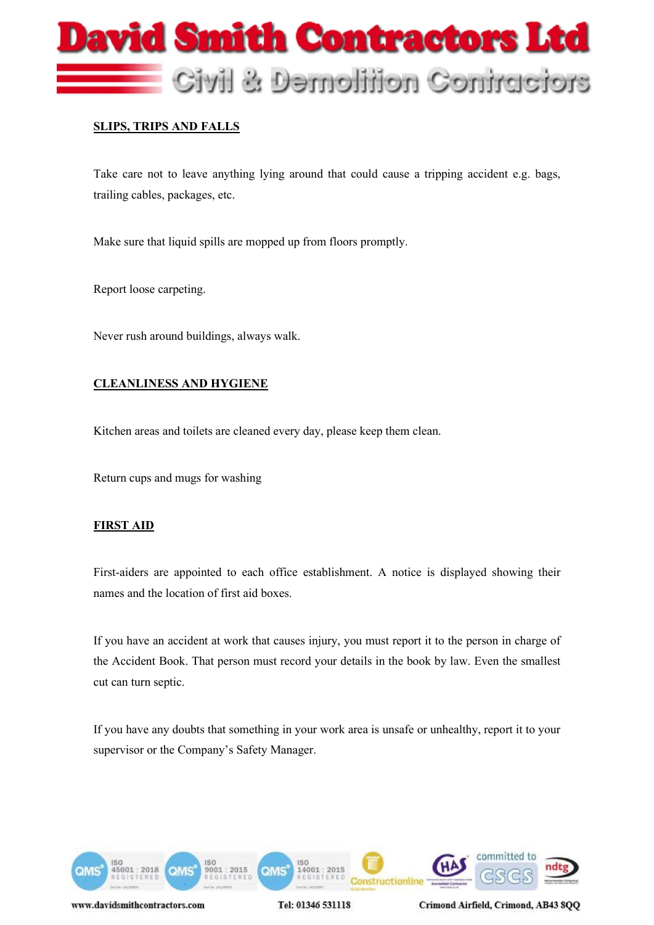

#### **SLIPS, TRIPS AND FALLS**

Take care not to leave anything lying around that could cause a tripping accident e.g. bags, trailing cables, packages, etc.

Make sure that liquid spills are mopped up from floors promptly.

Report loose carpeting.

Never rush around buildings, always walk.

#### **CLEANLINESS AND HYGIENE**

Kitchen areas and toilets are cleaned every day, please keep them clean.

Return cups and mugs for washing

#### **FIRST AID**

First-aiders are appointed to each office establishment. A notice is displayed showing their names and the location of first aid boxes.

If you have an accident at work that causes injury, you must report it to the person in charge of the Accident Book. That person must record your details in the book by law. Even the smallest cut can turn septic.

If you have any doubts that something in your work area is unsafe or unhealthy, report it to your supervisor or the Company's Safety Manager.



Tel: 01346 531118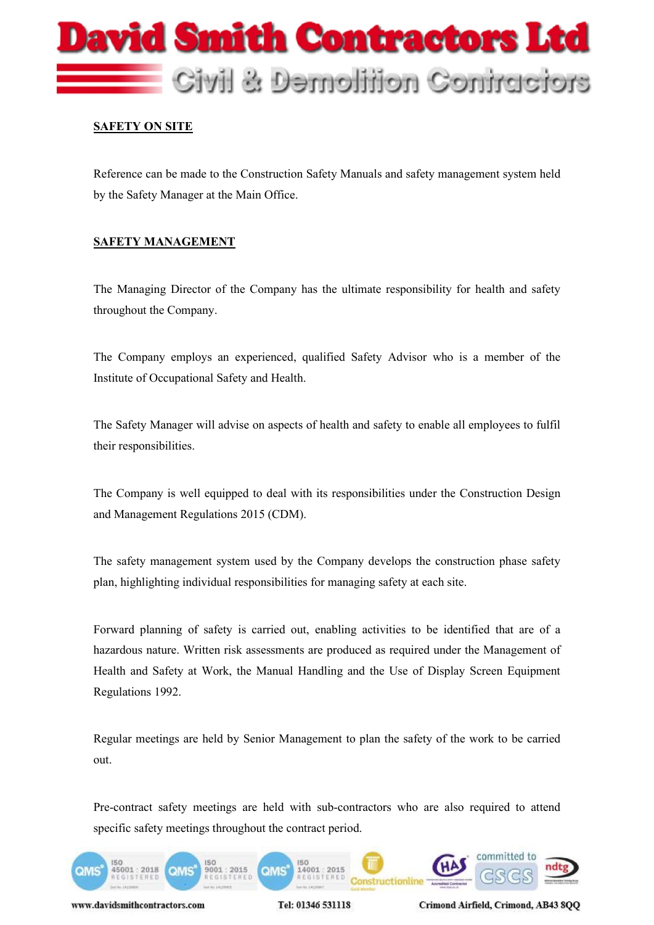

#### **SAFETY ON SITE**

Reference can be made to the Construction Safety Manuals and safety management system held by the Safety Manager at the Main Office.

#### **SAFETY MANAGEMENT**

The Managing Director of the Company has the ultimate responsibility for health and safety throughout the Company.

The Company employs an experienced, qualified Safety Advisor who is a member of the Institute of Occupational Safety and Health.

The Safety Manager will advise on aspects of health and safety to enable all employees to fulfil their responsibilities.

The Company is well equipped to deal with its responsibilities under the Construction Design and Management Regulations 2015 (CDM).

The safety management system used by the Company develops the construction phase safety plan, highlighting individual responsibilities for managing safety at each site.

Forward planning of safety is carried out, enabling activities to be identified that are of a hazardous nature. Written risk assessments are produced as required under the Management of Health and Safety at Work, the Manual Handling and the Use of Display Screen Equipment Regulations 1992.

Regular meetings are held by Senior Management to plan the safety of the work to be carried out.

Pre-contract safety meetings are held with sub-contractors who are also required to attend specific safety meetings throughout the contract period.



www.davidsmithcontractors.com

Tel: 01346 531118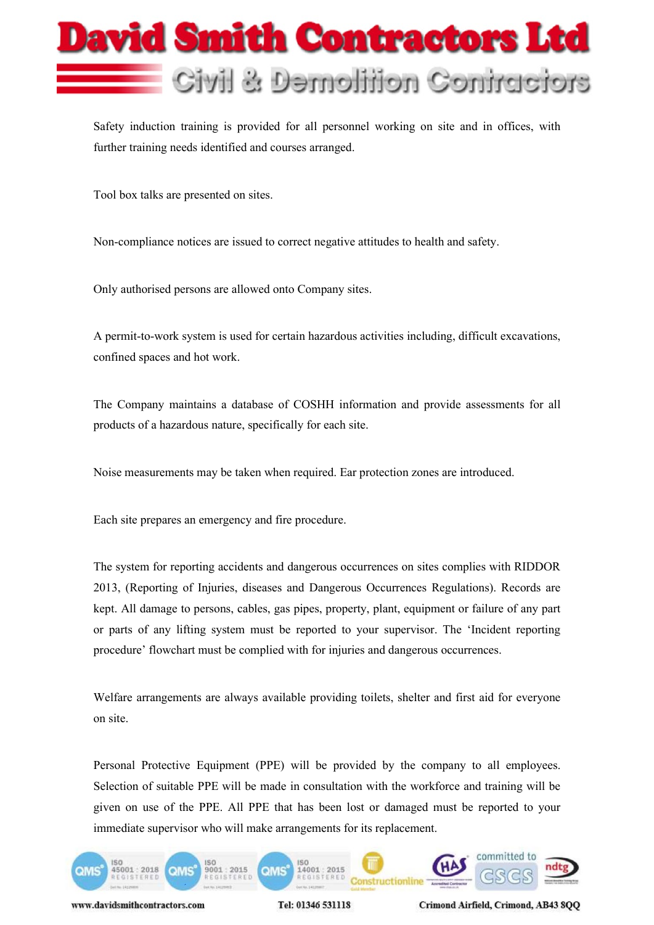

Safety induction training is provided for all personnel working on site and in offices, with further training needs identified and courses arranged.

Tool box talks are presented on sites.

Non-compliance notices are issued to correct negative attitudes to health and safety.

Only authorised persons are allowed onto Company sites.

A permit-to-work system is used for certain hazardous activities including, difficult excavations, confined spaces and hot work.

The Company maintains a database of COSHH information and provide assessments for all products of a hazardous nature, specifically for each site.

Noise measurements may be taken when required. Ear protection zones are introduced.

Each site prepares an emergency and fire procedure.

The system for reporting accidents and dangerous occurrences on sites complies with RIDDOR 2013, (Reporting of Injuries, diseases and Dangerous Occurrences Regulations). Records are kept. All damage to persons, cables, gas pipes, property, plant, equipment or failure of any part or parts of any lifting system must be reported to your supervisor. The 'Incident reporting procedure' flowchart must be complied with for injuries and dangerous occurrences.

Welfare arrangements are always available providing toilets, shelter and first aid for everyone on site.

Personal Protective Equipment (PPE) will be provided by the company to all employees. Selection of suitable PPE will be made in consultation with the workforce and training will be given on use of the PPE. All PPE that has been lost or damaged must be reported to your immediate supervisor who will make arrangements for its replacement.



www.davidsmithcontractors.com

Tel: 01346 531118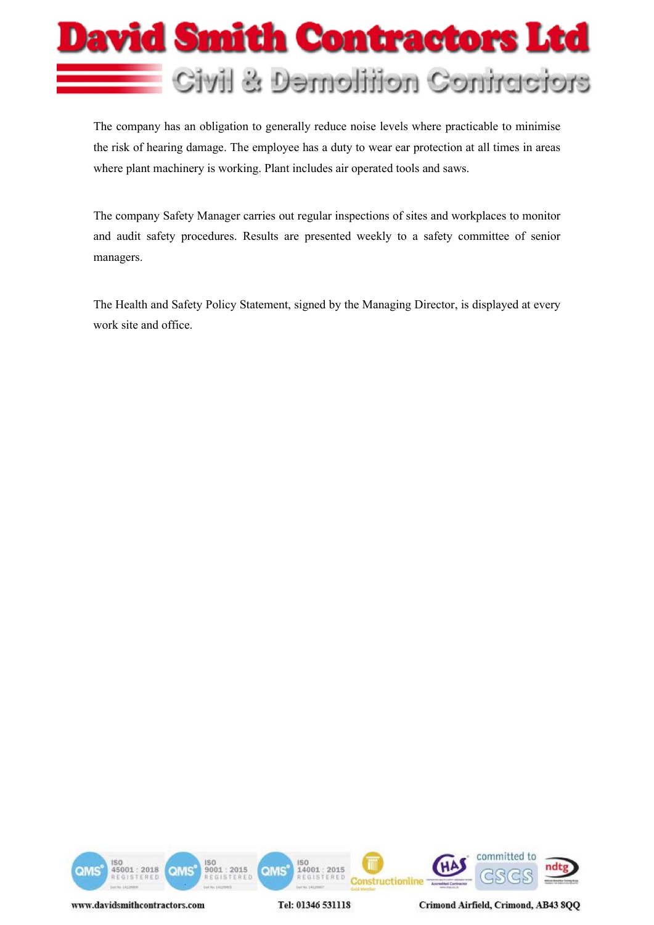

The company has an obligation to generally reduce noise levels where practicable to minimise the risk of hearing damage. The employee has a duty to wear ear protection at all times in areas where plant machinery is working. Plant includes air operated tools and saws.

The company Safety Manager carries out regular inspections of sites and workplaces to monitor and audit safety procedures. Results are presented weekly to a safety committee of senior managers.

The Health and Safety Policy Statement, signed by the Managing Director, is displayed at every work site and office.



Tel: 01346 531118